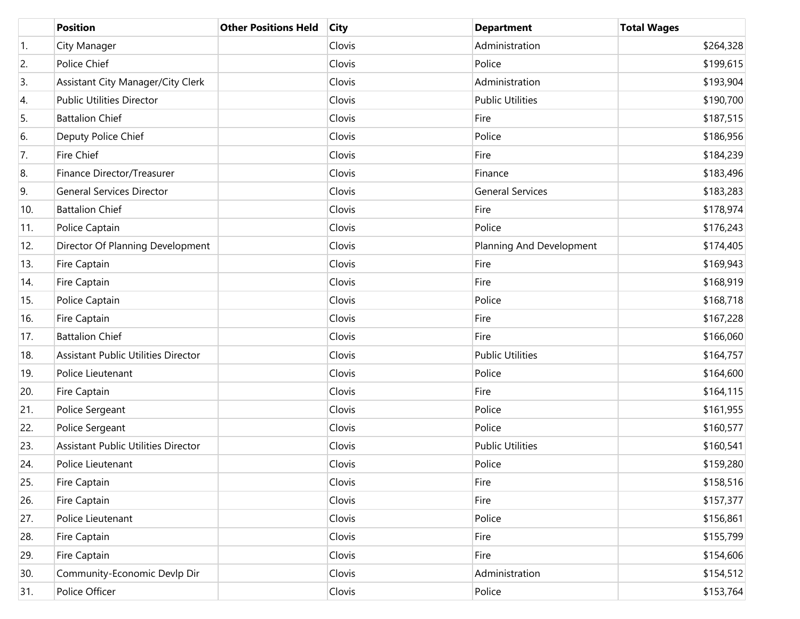|     | <b>Position</b>                            | <b>Other Positions Held</b> | <b>City</b> | <b>Department</b>        | <b>Total Wages</b> |
|-----|--------------------------------------------|-----------------------------|-------------|--------------------------|--------------------|
| 1.  | City Manager                               |                             | Clovis      | Administration           | \$264,328          |
| 2.  | Police Chief                               |                             | Clovis      | Police                   | \$199,615          |
| 3.  | Assistant City Manager/City Clerk          |                             | Clovis      | Administration           | \$193,904          |
| 4.  | <b>Public Utilities Director</b>           |                             | Clovis      | <b>Public Utilities</b>  | \$190,700          |
| 5.  | <b>Battalion Chief</b>                     |                             | Clovis      | Fire                     | \$187,515          |
| 6.  | Deputy Police Chief                        |                             | Clovis      | Police                   | \$186,956          |
| 7.  | <b>Fire Chief</b>                          |                             | Clovis      | Fire                     | \$184,239          |
| 8.  | Finance Director/Treasurer                 |                             | Clovis      | Finance                  | \$183,496          |
| 9.  | <b>General Services Director</b>           |                             | Clovis      | <b>General Services</b>  | \$183,283          |
| 10. | <b>Battalion Chief</b>                     |                             | Clovis      | Fire                     | \$178,974          |
| 11. | Police Captain                             |                             | Clovis      | Police                   | \$176,243          |
| 12. | Director Of Planning Development           |                             | Clovis      | Planning And Development | \$174,405          |
| 13. | Fire Captain                               |                             | Clovis      | Fire                     | \$169,943          |
| 14. | Fire Captain                               |                             | Clovis      | Fire                     | \$168,919          |
| 15. | Police Captain                             |                             | Clovis      | Police                   | \$168,718          |
| 16. | Fire Captain                               |                             | Clovis      | Fire                     | \$167,228          |
| 17. | <b>Battalion Chief</b>                     |                             | Clovis      | Fire                     | \$166,060          |
| 18. | <b>Assistant Public Utilities Director</b> |                             | Clovis      | <b>Public Utilities</b>  | \$164,757          |
| 19. | Police Lieutenant                          |                             | Clovis      | Police                   | \$164,600          |
| 20. | Fire Captain                               |                             | Clovis      | Fire                     | \$164,115          |
| 21. | Police Sergeant                            |                             | Clovis      | Police                   | \$161,955          |
| 22. | Police Sergeant                            |                             | Clovis      | Police                   | \$160,577          |
| 23. | <b>Assistant Public Utilities Director</b> |                             | Clovis      | <b>Public Utilities</b>  | \$160,541          |
| 24. | Police Lieutenant                          |                             | Clovis      | Police                   | \$159,280          |
| 25. | <b>Fire Captain</b>                        |                             | Clovis      | Fire                     | \$158,516          |
| 26. | Fire Captain                               |                             | Clovis      | Fire                     | \$157,377          |
| 27. | Police Lieutenant                          |                             | Clovis      | Police                   | \$156,861          |
| 28. | Fire Captain                               |                             | Clovis      | Fire                     | \$155,799          |
| 29. | Fire Captain                               |                             | Clovis      | Fire                     | \$154,606          |
| 30. | Community-Economic Devlp Dir               |                             | Clovis      | Administration           | \$154,512          |
| 31. | Police Officer                             |                             | Clovis      | Police                   | \$153,764          |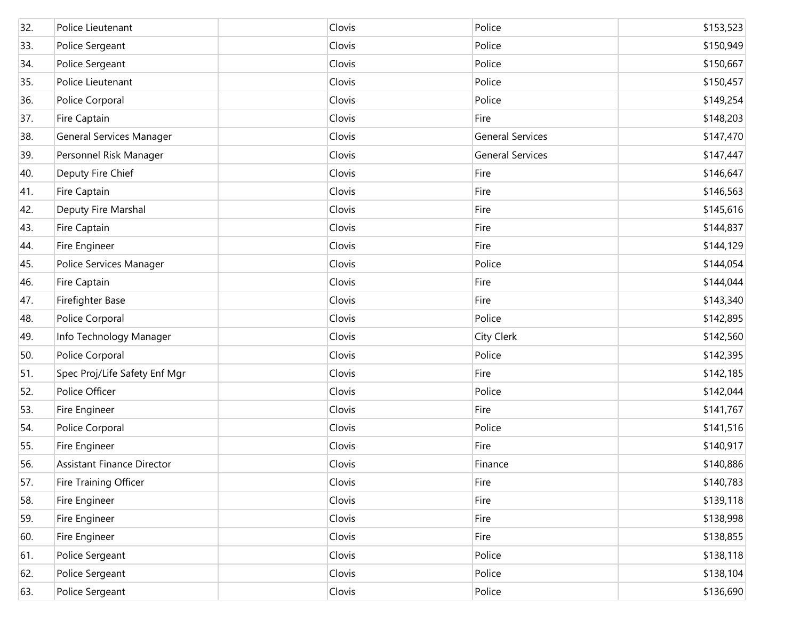| 32. | Police Lieutenant                 | Clovis | Police                  | \$153,523 |
|-----|-----------------------------------|--------|-------------------------|-----------|
| 33. | Police Sergeant                   | Clovis | Police                  | \$150,949 |
| 34. | Police Sergeant                   | Clovis | Police                  | \$150,667 |
| 35. | Police Lieutenant                 | Clovis | Police                  | \$150,457 |
| 36. | Police Corporal                   | Clovis | Police                  | \$149,254 |
| 37. | Fire Captain                      | Clovis | Fire                    | \$148,203 |
| 38. | General Services Manager          | Clovis | <b>General Services</b> | \$147,470 |
| 39. | Personnel Risk Manager            | Clovis | <b>General Services</b> | \$147,447 |
| 40. | Deputy Fire Chief                 | Clovis | Fire                    | \$146,647 |
| 41. | Fire Captain                      | Clovis | Fire                    | \$146,563 |
| 42. | Deputy Fire Marshal               | Clovis | Fire                    | \$145,616 |
| 43. | Fire Captain                      | Clovis | Fire                    | \$144,837 |
| 44. | Fire Engineer                     | Clovis | Fire                    | \$144,129 |
| 45. | Police Services Manager           | Clovis | Police                  | \$144,054 |
| 46. | Fire Captain                      | Clovis | Fire                    | \$144,044 |
| 47. | Firefighter Base                  | Clovis | Fire                    | \$143,340 |
| 48. | Police Corporal                   | Clovis | Police                  | \$142,895 |
| 49. | Info Technology Manager           | Clovis | City Clerk              | \$142,560 |
| 50. | Police Corporal                   | Clovis | Police                  | \$142,395 |
| 51. | Spec Proj/Life Safety Enf Mgr     | Clovis | Fire                    | \$142,185 |
| 52. | Police Officer                    | Clovis | Police                  | \$142,044 |
| 53. | Fire Engineer                     | Clovis | Fire                    | \$141,767 |
| 54. | Police Corporal                   | Clovis | Police                  | \$141,516 |
| 55. | Fire Engineer                     | Clovis | Fire                    | \$140,917 |
| 56. | <b>Assistant Finance Director</b> | Clovis | Finance                 | \$140,886 |
| 57. | Fire Training Officer             | Clovis | Fire                    | \$140,783 |
| 58. | Fire Engineer                     | Clovis | Fire                    | \$139,118 |
| 59. | Fire Engineer                     | Clovis | Fire                    | \$138,998 |
| 60. | Fire Engineer                     | Clovis | Fire                    | \$138,855 |
| 61. | Police Sergeant                   | Clovis | Police                  | \$138,118 |
| 62. | Police Sergeant                   | Clovis | Police                  | \$138,104 |
| 63. | Police Sergeant                   | Clovis | Police                  | \$136,690 |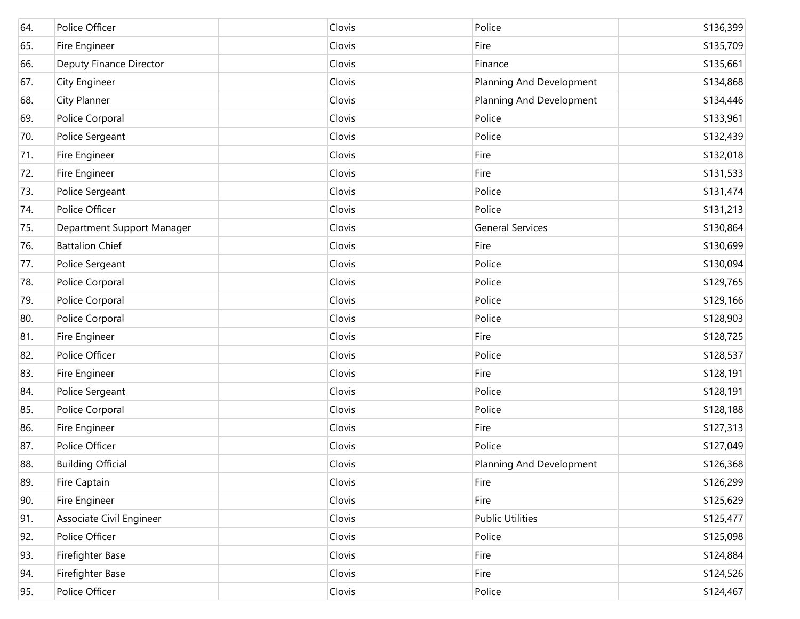| 64. | Police Officer             | Clovis | Police                   | \$136,399 |
|-----|----------------------------|--------|--------------------------|-----------|
| 65. | Fire Engineer              | Clovis | Fire                     | \$135,709 |
| 66. | Deputy Finance Director    | Clovis | Finance                  | \$135,661 |
| 67. | <b>City Engineer</b>       | Clovis | Planning And Development | \$134,868 |
| 68. | <b>City Planner</b>        | Clovis | Planning And Development | \$134,446 |
| 69. | Police Corporal            | Clovis | Police                   | \$133,961 |
| 70. | Police Sergeant            | Clovis | Police                   | \$132,439 |
| 71. | Fire Engineer              | Clovis | Fire                     | \$132,018 |
| 72. | Fire Engineer              | Clovis | Fire                     | \$131,533 |
| 73. | Police Sergeant            | Clovis | Police                   | \$131,474 |
| 74. | Police Officer             | Clovis | Police                   | \$131,213 |
| 75. | Department Support Manager | Clovis | <b>General Services</b>  | \$130,864 |
| 76. | <b>Battalion Chief</b>     | Clovis | Fire                     | \$130,699 |
| 77. | Police Sergeant            | Clovis | Police                   | \$130,094 |
| 78. | Police Corporal            | Clovis | Police                   | \$129,765 |
| 79. | Police Corporal            | Clovis | Police                   | \$129,166 |
| 80. | Police Corporal            | Clovis | Police                   | \$128,903 |
| 81. | Fire Engineer              | Clovis | Fire                     | \$128,725 |
| 82. | Police Officer             | Clovis | Police                   | \$128,537 |
| 83. | Fire Engineer              | Clovis | Fire                     | \$128,191 |
| 84. | Police Sergeant            | Clovis | Police                   | \$128,191 |
| 85. | Police Corporal            | Clovis | Police                   | \$128,188 |
| 86. | Fire Engineer              | Clovis | Fire                     | \$127,313 |
| 87. | Police Officer             | Clovis | Police                   | \$127,049 |
| 88. | <b>Building Official</b>   | Clovis | Planning And Development | \$126,368 |
| 89. | Fire Captain               | Clovis | Fire                     | \$126,299 |
| 90. | Fire Engineer              | Clovis | Fire                     | \$125,629 |
| 91. | Associate Civil Engineer   | Clovis | <b>Public Utilities</b>  | \$125,477 |
| 92. | Police Officer             | Clovis | Police                   | \$125,098 |
| 93. | Firefighter Base           | Clovis | Fire                     | \$124,884 |
| 94. | Firefighter Base           | Clovis | Fire                     | \$124,526 |
| 95. | Police Officer             | Clovis | Police                   | \$124,467 |